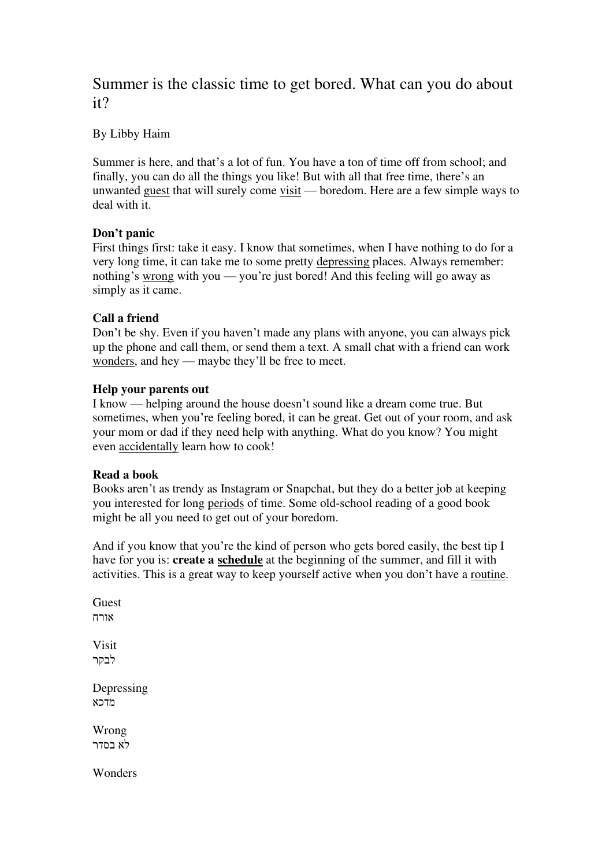# Summer is the classic time to get bored. What can you do about it?

By Libby Haim

Summer is here, and that's a lot of fun. You have a ton of time off from school; and finally, you can do all the things you like! But with all that free time, there's an unwanted guest that will surely come visit — boredom. Here are a few simple ways to deal with it.

## **Don't panic**

First things first: take it easy. I know that sometimes, when I have nothing to do for a very long time, it can take me to some pretty depressing places. Always remember: nothing's wrong with you — you're just bored! And this feeling will go away as simply as it came.

## **Call a friend**

Don't be shy. Even if you haven't made any plans with anyone, you can always pick up the phone and call them, or send them a text. A small chat with a friend can work wonders, and hey — maybe they'll be free to meet.

#### **Help your parents out**

I know — helping around the house doesn't sound like a dream come true. But sometimes, when you're feeling bored, it can be great. Get out of your room, and ask your mom or dad if they need help with anything. What do you know? You might even accidentally learn how to cook!

#### **Read a book**

Books aren't as trendy as Instagram or Snapchat, but they do a better job at keeping you interested for long periods of time. Some old-school reading of a good book might be all you need to get out of your boredom.

And if you know that you're the kind of person who gets bored easily, the best tip I have for you is: **create a schedule** at the beginning of the summer, and fill it with activities. This is a great way to keep yourself active when you don't have a routine.

**Guest** אורח Visit לבקר Depressing מדכא

Wrong לא בסדר

Wonders